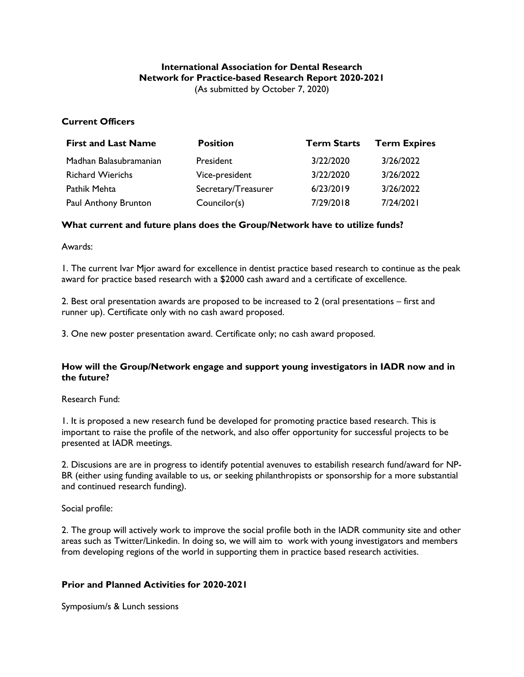#### **International Association for Dental Research Network for Practice-based Research Report 2020-2021** (As submitted by October 7, 2020)

# **Current Officers**

| <b>First and Last Name</b> | <b>Position</b>     | <b>Term Starts</b> | <b>Term Expires</b> |
|----------------------------|---------------------|--------------------|---------------------|
| Madhan Balasubramanian     | President           | 3/22/2020          | 3/26/2022           |
| <b>Richard Wierichs</b>    | Vice-president      | 3/22/2020          | 3/26/2022           |
| Pathik Mehta               | Secretary/Treasurer | 6/23/2019          | 3/26/2022           |
| Paul Anthony Brunton       | Councilor(s)        | 7/29/2018          | 7/24/2021           |

# **What current and future plans does the Group/Network have to utilize funds?**

Awards:

1. The current Ivar Mjor award for excellence in dentist practice based research to continue as the peak award for practice based research with a \$2000 cash award and a certificate of excellence.

2. Best oral presentation awards are proposed to be increased to 2 (oral presentations – first and runner up). Certificate only with no cash award proposed.

3. One new poster presentation award. Certificate only; no cash award proposed.

# **How will the Group/Network engage and support young investigators in IADR now and in the future?**

#### Research Fund:

1. It is proposed a new research fund be developed for promoting practice based research. This is important to raise the profile of the network, and also offer opportunity for successful projects to be presented at IADR meetings.

2. Discusions are are in progress to identify potential avenuves to estabilish research fund/award for NP-BR (either using funding available to us, or seeking philanthropists or sponsorship for a more substantial and continued research funding).

Social profile:

2. The group will actively work to improve the social profile both in the IADR community site and other areas such as Twitter/Linkedin. In doing so, we will aim to work with young investigators and members from developing regions of the world in supporting them in practice based research activities.

#### **Prior and Planned Activities for 2020-2021**

Symposium/s & Lunch sessions